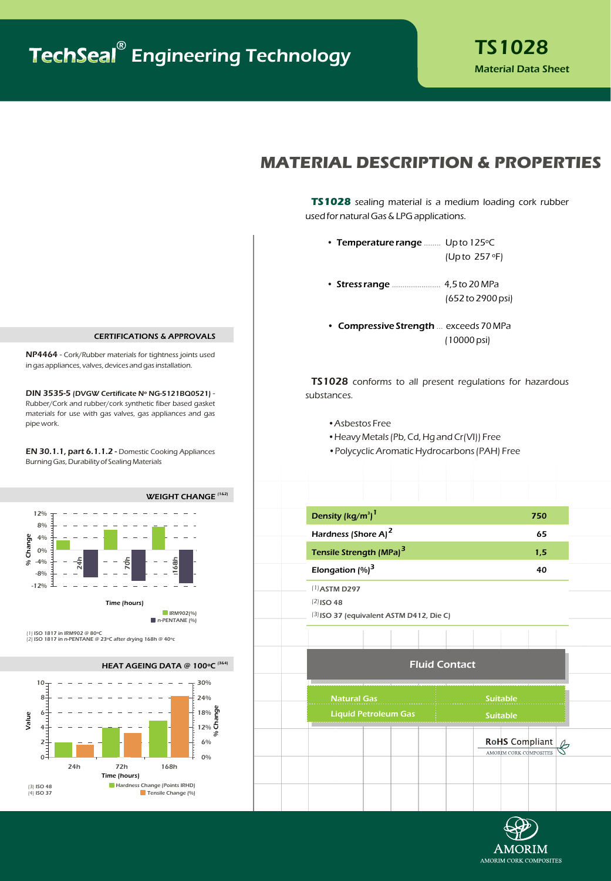## **MATERIAL DESCRIPTION & PROPERTIES**

**TS1028** sealing material is a medium loading cork rubber used for natural Gas & LPG applications.

- Temperature range ........ Up to  $125^{\circ}$ C (Up to 257 ºF)
- Stress range ......................... 4,5 to 20 MPa (652 to 2900 psi)
- Compressive Strength ... exceeds 70 MPa (10000 psi)

TS1028 conforms to all present regulations for hazardous substances.

- •Asbestos Free
- •Heavy Metals (Pb, Cd, Hg and Cr(VI)) Free
- •Polycyclic Aromatic Hydrocarbons (PAH) Free

| Density (kg/m <sup>3</sup> ) <sup>1</sup> | 750                   |
|-------------------------------------------|-----------------------|
| Hardness (Shore A) <sup>2</sup>           | 65                    |
| Tensile Strength (MPa) <sup>3</sup>       | 1,5                   |
| Elongation $(\%)^3$                       | 40                    |
| $(1)$ ASTM D297                           |                       |
| $(2)$ ISO 48                              |                       |
| [3] ISO 37 (equivalent ASTM D412, Die C)  |                       |
|                                           |                       |
|                                           |                       |
| <b>Fluid Contact</b>                      |                       |
| <b>Natural Gas</b>                        | <b>Suitable</b>       |
|                                           |                       |
| <b>Liquid Petroleum Gas</b>               | <b>Suitable</b>       |
|                                           | <b>RoHS</b> Compliant |



#### **CERTIFICATIONS & APPROVALS**

NP4464 - Cork/Rubber materials for tightness joints used in gas appliances, valves, devices and gas installation.

DIN 3535-5 (DVGW Certificate Nº NG-5121BQ0521) - Rubber/Cork and rubber/cork synthetic fiber based gasket materials for use with gas valves, gas appliances and gas pipe work.

EN 30.1.1, part 6.1.1.2 - Domestic Cooking Appliances Burning Gas, Durability of Sealing Materials



(1) ISO 1817 in IRM902 @ 80ºC (2) ISO 1817 in n-PENTANE @ 23ºC after drying 168h @ 40ºc

(3&4) **HEAT AGEING DATA @ 1**00**ºC**